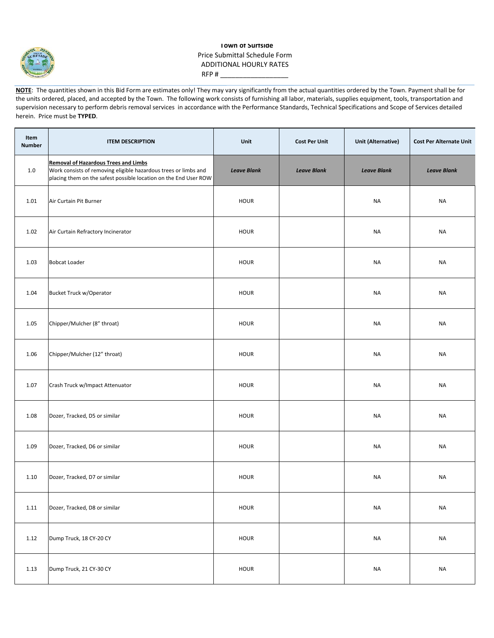

## **Town of Surfside** Price Submittal Schedule Form ADDITIONAL HOURLY RATES RFP # $_$

**NOTE:** The quantities shown in this Bid Form are estimates only! They may vary significantly from the actual quantities ordered by the Town. Payment shall be for the units ordered, placed, and accepted by the Town. The following work consists of furnishing all labor, materials, supplies equipment, tools, transportation and supervision necessary to perform debris removal services in accordance with the Performance Standards, Technical Specifications and Scope of Services detailed herein. Price must be **TYPED**.

| Item<br><b>Number</b> | <b>ITEM DESCRIPTION</b>                                                                                                                                                            | Unit               | <b>Cost Per Unit</b> | <b>Unit (Alternative)</b> | <b>Cost Per Alternate Unit</b> |
|-----------------------|------------------------------------------------------------------------------------------------------------------------------------------------------------------------------------|--------------------|----------------------|---------------------------|--------------------------------|
| 1.0                   | <b>Removal of Hazardous Trees and Limbs</b><br>Work consists of removing eligible hazardous trees or limbs and<br>placing them on the safest possible location on the End User ROW | <b>Leave Blank</b> | <b>Leave Blank</b>   | <b>Leave Blank</b>        | <b>Leave Blank</b>             |
| 1.01                  | Air Curtain Pit Burner                                                                                                                                                             | <b>HOUR</b>        |                      | <b>NA</b>                 | <b>NA</b>                      |
| 1.02                  | Air Curtain Refractory Incinerator                                                                                                                                                 | <b>HOUR</b>        |                      | NA                        | <b>NA</b>                      |
| 1.03                  | <b>Bobcat Loader</b>                                                                                                                                                               | <b>HOUR</b>        |                      | <b>NA</b>                 | NA                             |
| 1.04                  | <b>Bucket Truck w/Operator</b>                                                                                                                                                     | <b>HOUR</b>        |                      | NA                        | <b>NA</b>                      |
| 1.05                  | Chipper/Mulcher (8" throat)                                                                                                                                                        | <b>HOUR</b>        |                      | NA                        | <b>NA</b>                      |
| 1.06                  | Chipper/Mulcher (12" throat)                                                                                                                                                       | <b>HOUR</b>        |                      | <b>NA</b>                 | <b>NA</b>                      |
| 1.07                  | Crash Truck w/Impact Attenuator                                                                                                                                                    | <b>HOUR</b>        |                      | <b>NA</b>                 | <b>NA</b>                      |
| 1.08                  | Dozer, Tracked, D5 or similar                                                                                                                                                      | <b>HOUR</b>        |                      | <b>NA</b>                 | <b>NA</b>                      |
| 1.09                  | Dozer, Tracked, D6 or similar                                                                                                                                                      | <b>HOUR</b>        |                      | <b>NA</b>                 | <b>NA</b>                      |
| 1.10                  | Dozer, Tracked, D7 or similar                                                                                                                                                      | <b>HOUR</b>        |                      | NA                        | <b>NA</b>                      |
| 1.11                  | Dozer, Tracked, D8 or similar                                                                                                                                                      | <b>HOUR</b>        |                      | <b>NA</b>                 | <b>NA</b>                      |
| 1.12                  | Dump Truck, 18 CY-20 CY                                                                                                                                                            | HOUR               |                      | <b>NA</b>                 | <b>NA</b>                      |
| 1.13                  | Dump Truck, 21 CY-30 CY                                                                                                                                                            | <b>HOUR</b>        |                      | <b>NA</b>                 | <b>NA</b>                      |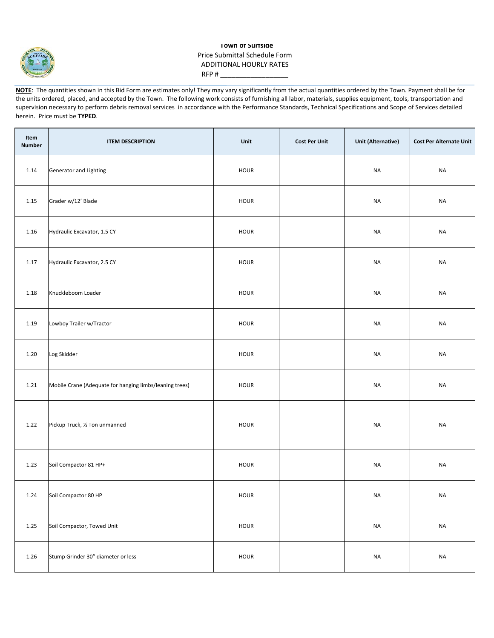

## **Town of Surfside** Price Submittal Schedule Form ADDITIONAL HOURLY RATES RFP # $_$

**NOTE:** The quantities shown in this Bid Form are estimates only! They may vary significantly from the actual quantities ordered by the Town. Payment shall be for the units ordered, placed, and accepted by the Town. The following work consists of furnishing all labor, materials, supplies equipment, tools, transportation and supervision necessary to perform debris removal services in accordance with the Performance Standards, Technical Specifications and Scope of Services detailed herein. Price must be **TYPED**.

| Item<br><b>Number</b> | <b>ITEM DESCRIPTION</b>                                 | Unit        | <b>Cost Per Unit</b> | <b>Unit (Alternative)</b> | <b>Cost Per Alternate Unit</b> |
|-----------------------|---------------------------------------------------------|-------------|----------------------|---------------------------|--------------------------------|
| 1.14                  | Generator and Lighting                                  | <b>HOUR</b> |                      | <b>NA</b>                 | <b>NA</b>                      |
| 1.15                  | Grader w/12' Blade                                      | <b>HOUR</b> |                      | <b>NA</b>                 | <b>NA</b>                      |
| 1.16                  | Hydraulic Excavator, 1.5 CY                             | <b>HOUR</b> |                      | <b>NA</b>                 | <b>NA</b>                      |
| 1.17                  | Hydraulic Excavator, 2.5 CY                             | <b>HOUR</b> |                      | <b>NA</b>                 | <b>NA</b>                      |
| 1.18                  | Knuckleboom Loader                                      | <b>HOUR</b> |                      | <b>NA</b>                 | <b>NA</b>                      |
| 1.19                  | Lowboy Trailer w/Tractor                                | <b>HOUR</b> |                      | <b>NA</b>                 | <b>NA</b>                      |
| 1.20                  | Log Skidder                                             | <b>HOUR</b> |                      | <b>NA</b>                 | <b>NA</b>                      |
| 1.21                  | Mobile Crane (Adequate for hanging limbs/leaning trees) | <b>HOUR</b> |                      | <b>NA</b>                 | <b>NA</b>                      |
| 1.22                  | Pickup Truck, 1/2 Ton unmanned                          | <b>HOUR</b> |                      | <b>NA</b>                 | <b>NA</b>                      |
| 1.23                  | Soil Compactor 81 HP+                                   | HOUR        |                      | <b>NA</b>                 | <b>NA</b>                      |
| 1.24                  | Soil Compactor 80 HP                                    | HOUR        |                      | $\sf NA$                  | $\sf NA$                       |
| 1.25                  | Soil Compactor, Towed Unit                              | HOUR        |                      | <b>NA</b>                 | $\sf NA$                       |
| 1.26                  | Stump Grinder 30" diameter or less                      | HOUR        |                      | $\sf NA$                  | <b>NA</b>                      |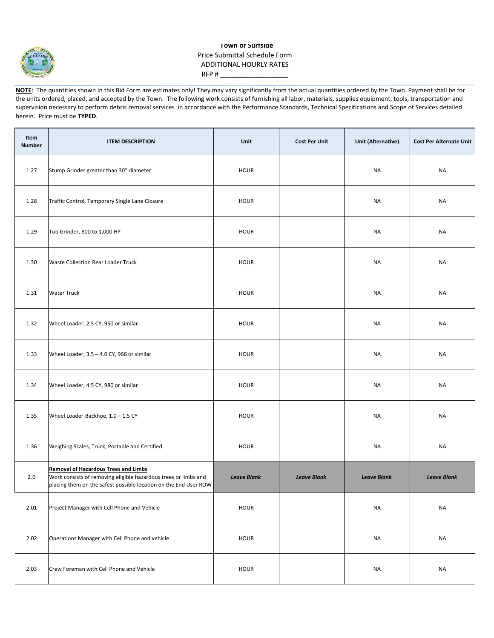

## **Town of Surfside** Price Submittal Schedule Form ADDITIONAL HOURLY RATES RFP # $-$

**NOTE:** The quantities shown in this Bid Form are estimates only! They may vary significantly from the actual quantities ordered by the Town. Payment shall be for the units ordered, placed, and accepted by the Town. The following work consists of furnishing all labor, materials, supplies equipment, tools, transportation and supervision necessary to perform debris removal services in accordance with the Performance Standards, Technical Specifications and Scope of Services detailed herein. Price must be **TYPED**.

| Item<br><b>Number</b> | <b>ITEM DESCRIPTION</b>                                                                                                                                                            | Unit               | <b>Cost Per Unit</b> | Unit (Alternative) | <b>Cost Per Alternate Unit</b> |
|-----------------------|------------------------------------------------------------------------------------------------------------------------------------------------------------------------------------|--------------------|----------------------|--------------------|--------------------------------|
| 1.27                  | Stump Grinder greater than 30" diameter                                                                                                                                            | <b>HOUR</b>        |                      | <b>NA</b>          | <b>NA</b>                      |
| 1.28                  | Traffic Control, Temporary Single Lane Closure                                                                                                                                     | <b>HOUR</b>        |                      | NA                 | <b>NA</b>                      |
| 1.29                  | Tub Grinder, 800 to 1,000 HP                                                                                                                                                       | <b>HOUR</b>        |                      | NA                 | <b>NA</b>                      |
| 1.30                  | Waste Collection Rear Loader Truck                                                                                                                                                 | <b>HOUR</b>        |                      | <b>NA</b>          | <b>NA</b>                      |
| 1.31                  | <b>Water Truck</b>                                                                                                                                                                 | <b>HOUR</b>        |                      | NA                 | NA                             |
| 1.32                  | Wheel Loader, 2.5 CY, 950 or similar                                                                                                                                               | <b>HOUR</b>        |                      | NA                 | NA                             |
| 1.33                  | Wheel Loader, 3.5 - 4.0 CY, 966 or similar                                                                                                                                         | <b>HOUR</b>        |                      | <b>NA</b>          | <b>NA</b>                      |
| 1.34                  | Wheel Loader, 4.5 CY, 980 or similar                                                                                                                                               | <b>HOUR</b>        |                      | NA                 | <b>NA</b>                      |
| 1.35                  | Wheel Loader-Backhoe, 1.0 - 1.5 CY                                                                                                                                                 | <b>HOUR</b>        |                      | NA                 | NA                             |
| 1.36                  | Weighing Scales, Truck, Portable and Certified                                                                                                                                     | <b>HOUR</b>        |                      | <b>NA</b>          | <b>NA</b>                      |
| 2.0                   | <b>Removal of Hazardous Trees and Limbs</b><br>Work consists of removing eligible hazardous trees or limbs and<br>placing them on the safest possible location on the End User ROW | <b>Leave Blank</b> | <b>Leave Blank</b>   | <b>Leave Blank</b> | <b>Leave Blank</b>             |
| 2.01                  | Project Manager with Cell Phone and Vehicle                                                                                                                                        | <b>HOUR</b>        |                      | NA                 | NA                             |
| 2.02                  | Operations Manager with Cell Phone and vehicle                                                                                                                                     | <b>HOUR</b>        |                      | <b>NA</b>          | <b>NA</b>                      |
| 2.03                  | Crew Foreman with Cell Phone and Vehicle                                                                                                                                           | <b>HOUR</b>        |                      | NA                 | NA                             |